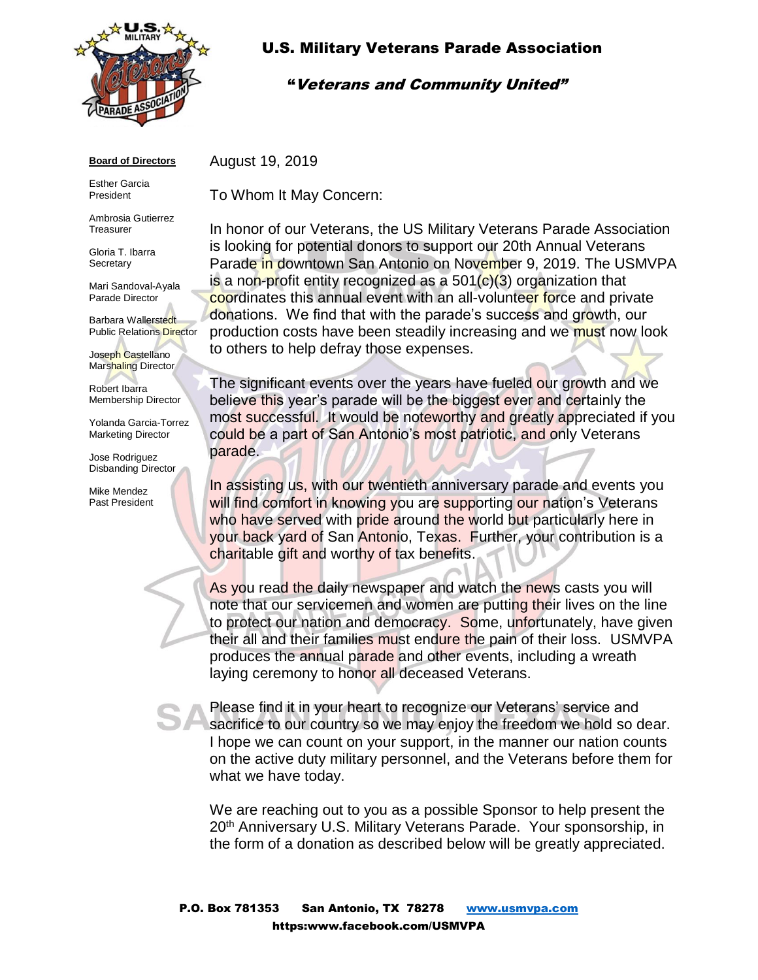

# U.S. Military Veterans Parade Association

### "Veterans and Community United"

#### **Board of Directors**

Esther Garcia President

Ambrosia Gutierrez **Treasurer** 

Gloria T. Ibarra **Secretary** 

Mari Sandoval-Ayala Parade Director

Barbara Wallerstedt Public Relations Director

Joseph Castellano Marshaling Director

Robert Ibarra Membership Director

Yolanda Garcia-Torrez Marketing Director

Jose Rodriguez Disbanding Director

Mike Mendez Past President August 19, 2019

To Whom It May Concern:

In honor of our Veterans, the US Military Veterans Parade Association is looking for potential donors to support our 20th Annual Veterans Parade in downtown San Antonio on November 9, 2019. The USMVPA is a non-profit entity recognized as a  $501(c)(3)$  organization that coordinates this annual event with an all-volunteer force and private donations. We find that with the parade's success and growth, our production costs have been steadily increasing and we must now look to others to help defray those expenses.

The significant events over the years have fueled our growth and we believe this year's parade will be the biggest ever and certainly the most successful. It would be noteworthy and greatly appreciated if you could be a part of San Antonio's most patriotic, and only Veterans parade.

In assisting us, with our twentieth anniversary parade and events you will find comfort in knowing you are supporting our nation's Veterans who have served with pride around the world but particularly here in your back yard of San Antonio, Texas. Further, your contribution is a charitable gift and worthy of tax benefits.

As you read the daily newspaper and watch the news casts you will note that our servicemen and women are putting their lives on the line to protect our nation and democracy. Some, unfortunately, have given their all and their families must endure the pain of their loss. USMVPA produces the annual parade and other events, including a wreath laying ceremony to honor all deceased Veterans.

Please find it in your heart to recognize our Veterans' service and sacrifice to our country so we may enjoy the freedom we hold so dear. I hope we can count on your support, in the manner our nation counts on the active duty military personnel, and the Veterans before them for what we have today.

We are reaching out to you as a possible Sponsor to help present the 20<sup>th</sup> Anniversary U.S. Military Veterans Parade. Your sponsorship, in the form of a donation as described below will be greatly appreciated.